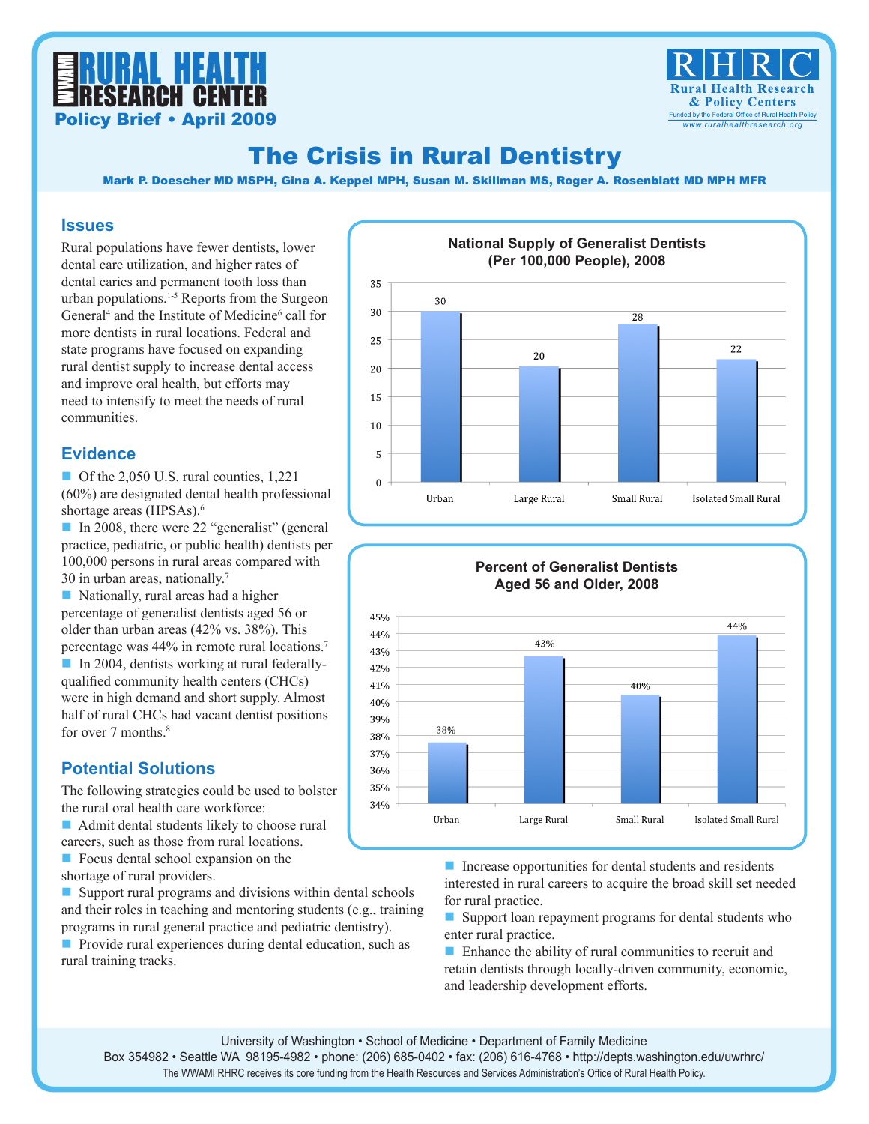



# The Crisis in Rural Dentistry

Mark P. Doescher MD MSPH, Gina A. Keppel MPH, Susan M. Skillman MS, Roger A. Rosenblatt MD MPH MFR

#### **Issues**

Rural populations have fewer dentists, lower dental care utilization, and higher rates of dental caries and permanent tooth loss than urban populations.1-5 Reports from the Surgeon General<sup>4</sup> and the Institute of Medicine<sup>6</sup> call for more dentists in rural locations. Federal and state programs have focused on expanding rural dentist supply to increase dental access and improve oral health, but efforts may need to intensify to meet the needs of rural communities.

#### **Evidence**

Of the 2,050 U.S. rural counties,  $1,221$ (60%) are designated dental health professional shortage areas (HPSAs).<sup>6</sup>

■ In 2008, there were 22 "generalist" (general practice, pediatric, or public health) dentists per 100,000 persons in rural areas compared with 30 in urban areas, nationally.7

 $\blacksquare$  Nationally, rural areas had a higher percentage of generalist dentists aged 56 or older than urban areas (42% vs. 38%). This percentage was 44% in remote rural locations.7

■ In 2004, dentists working at rural federallyqualified community health centers (CHCs) were in high demand and short supply. Almost half of rural CHCs had vacant dentist positions for over  $7$  months.<sup>8</sup>

### **Potential Solutions**

The following strategies could be used to bolster the rural oral health care workforce:

 $\blacksquare$  Admit dental students likely to choose rural careers, such as those from rural locations.

 $\blacksquare$  Focus dental school expansion on the shortage of rural providers.

 $\blacksquare$  Support rural programs and divisions within dental schools and their roles in teaching and mentoring students (e.g., training programs in rural general practice and pediatric dentistry).

 $\blacksquare$  Provide rural experiences during dental education, such as rural training tracks.



#### **Percent of Generalist Dentists Aged 56 and Older, 2008**45% 44% 44% 43% 43% 42% 40% 41% 40% 39% 38% 38% 37% 36% 35% 34% Urban Large Rural Small Rural Isolated Small Rural

 $\blacksquare$  Increase opportunities for dental students and residents interested in rural careers to acquire the broad skill set needed for rural practice.

 $\blacksquare$  Support loan repayment programs for dental students who enter rural practice.

 $\blacksquare$  Enhance the ability of rural communities to recruit and retain dentists through locally-driven community, economic, and leadership development efforts.

The WWAMI RHRC receives its core funding from the Health Resources and Services Administration's Office of Rural Health Policy.